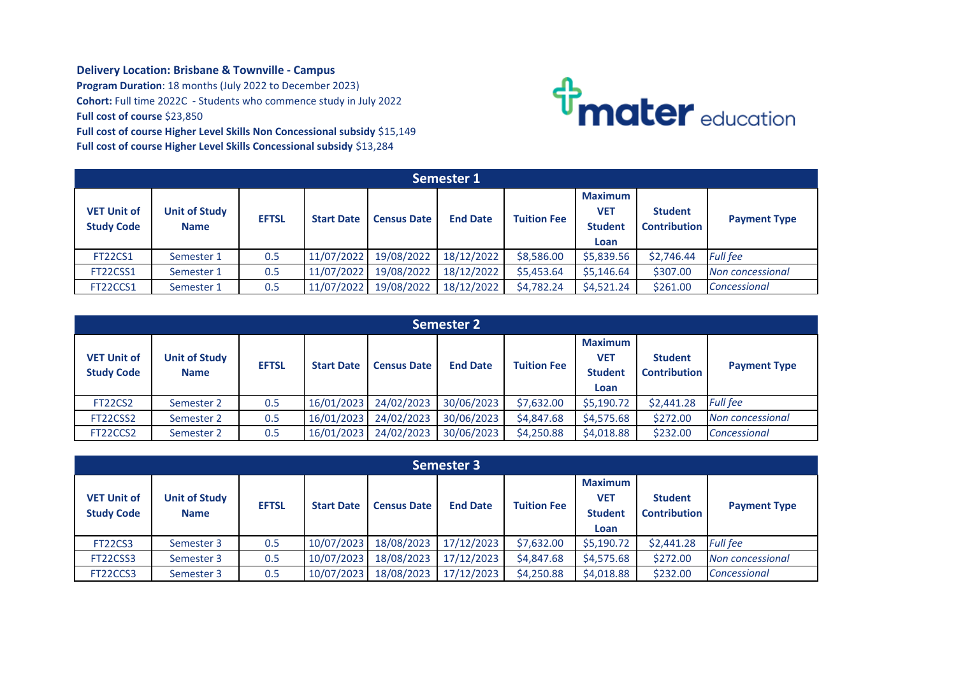## **Delivery Location: Brisbane & Townville - Campus**

**Program Duration**: 18 months (July 2022 to December 2023) **Cohort:** Full time 2022C - Students who commence study in July 2022 **Full cost of course** \$23,850 **Full cost of course Higher Level Skills Non Concessional subsidy** \$15,149 **Full cost of course Higher Level Skills Concessional subsidy** \$13,284



| <b>Semester 1</b>                       |                                     |              |                   |                    |                 |                    |                                                        |                                       |                     |  |
|-----------------------------------------|-------------------------------------|--------------|-------------------|--------------------|-----------------|--------------------|--------------------------------------------------------|---------------------------------------|---------------------|--|
| <b>VET Unit of</b><br><b>Study Code</b> | <b>Unit of Study</b><br><b>Name</b> | <b>EFTSL</b> | <b>Start Date</b> | <b>Census Date</b> | <b>End Date</b> | <b>Tuition Fee</b> | <b>Maximum</b><br><b>VET</b><br><b>Student</b><br>Loan | <b>Student</b><br><b>Contribution</b> | <b>Payment Type</b> |  |
| <b>FT22CS1</b>                          | Semester 1                          | 0.5          | 11/07/2022        | 19/08/2022         | 18/12/2022      | \$8,586.00         | \$5,839.56                                             | \$2,746.44                            | <b>Full fee</b>     |  |
| FT22CSS1                                | Semester 1                          | 0.5          | 11/07/2022        | 19/08/2022         | 18/12/2022      | \$5,453.64         | \$5,146.64                                             | \$307.00                              | Non concessional    |  |
| FT22CCS1                                | Semester 1                          | 0.5          | 11/07/2022        | 19/08/2022         | 18/12/2022      | \$4.782.24         | \$4,521.24                                             | \$261.00                              | Concessional        |  |

| <b>Semester 2</b>                       |                                     |              |                   |                    |                 |                    |                                                        |                                       |                         |
|-----------------------------------------|-------------------------------------|--------------|-------------------|--------------------|-----------------|--------------------|--------------------------------------------------------|---------------------------------------|-------------------------|
| <b>VET Unit of</b><br><b>Study Code</b> | <b>Unit of Study</b><br><b>Name</b> | <b>EFTSL</b> | <b>Start Date</b> | <b>Census Date</b> | <b>End Date</b> | <b>Tuition Fee</b> | <b>Maximum</b><br><b>VET</b><br><b>Student</b><br>Loan | <b>Student</b><br><b>Contribution</b> | <b>Payment Type</b>     |
| <b>FT22CS2</b>                          | Semester 2                          | 0.5          | 16/01/2023        | 24/02/2023         | 30/06/2023      | \$7,632.00         | \$5,190.72                                             | \$2,441.28                            | <b>Full fee</b>         |
| FT22CSS2                                | Semester 2                          | 0.5          | 16/01/2023        | 24/02/2023         | 30/06/2023      | \$4,847.68         | \$4,575.68                                             | \$272.00                              | <b>Non concessional</b> |
| FT22CCS2                                | Semester 2                          | 0.5          | 16/01/2023        | 24/02/2023         | 30/06/2023      | \$4,250.88         | \$4,018.88                                             | \$232.00                              | Concessional            |

| <b>Semester 3</b>                       |                                     |              |                   |                    |                 |                    |                                                 |                                       |                     |  |
|-----------------------------------------|-------------------------------------|--------------|-------------------|--------------------|-----------------|--------------------|-------------------------------------------------|---------------------------------------|---------------------|--|
| <b>VET Unit of</b><br><b>Study Code</b> | <b>Unit of Study</b><br><b>Name</b> | <b>EFTSL</b> | <b>Start Date</b> | <b>Census Date</b> | <b>End Date</b> | <b>Tuition Fee</b> | <b>Maximum</b><br>VET<br><b>Student</b><br>Loan | <b>Student</b><br><b>Contribution</b> | <b>Payment Type</b> |  |
| <b>FT22CS3</b>                          | Semester 3                          | 0.5          | 10/07/2023        | 18/08/2023         | 17/12/2023      | \$7,632.00         | \$5,190.72                                      | \$2,441.28                            | <b>Full fee</b>     |  |
| FT22CSS3                                | Semester 3                          | 0.5          | 10/07/2023        | 18/08/2023         | 17/12/2023      | \$4,847.68         | \$4,575.68                                      | \$272.00                              | Non concessional    |  |
| FT22CCS3                                | Semester 3                          | 0.5          | 10/07/2023        | 18/08/2023         | 17/12/2023      | \$4,250.88         | \$4,018.88                                      | \$232.00                              | Concessional        |  |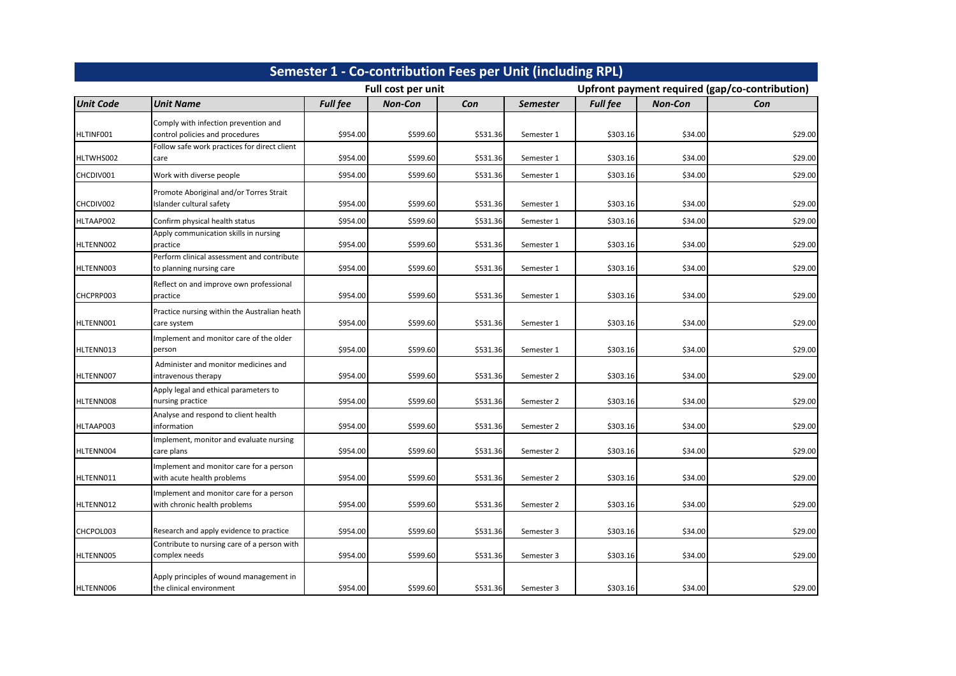| Semester 1 - Co-contribution Fees per Unit (including RPL) |                                                                         |                 |                    |          |                 |                                                |                |         |  |  |
|------------------------------------------------------------|-------------------------------------------------------------------------|-----------------|--------------------|----------|-----------------|------------------------------------------------|----------------|---------|--|--|
|                                                            |                                                                         |                 | Full cost per unit |          |                 | Upfront payment required (gap/co-contribution) |                |         |  |  |
| <b>Unit Code</b>                                           | <b>Unit Name</b>                                                        | <b>Full fee</b> | <b>Non-Con</b>     | Con      | <b>Semester</b> | <b>Full fee</b>                                | <b>Non-Con</b> | Con     |  |  |
| HLTINF001                                                  | Comply with infection prevention and<br>control policies and procedures | \$954.00        | \$599.60           | \$531.36 | Semester 1      | \$303.16                                       | \$34.00        | \$29.00 |  |  |
| HLTWHS002                                                  | Follow safe work practices for direct client<br>care                    | \$954.00        | \$599.60           | \$531.36 | Semester 1      | \$303.16                                       | \$34.00        | \$29.00 |  |  |
| CHCDIV001                                                  | Work with diverse people                                                | \$954.00        | \$599.60           | \$531.36 | Semester 1      | \$303.16                                       | \$34.00        | \$29.00 |  |  |
| CHCDIV002                                                  | Promote Aboriginal and/or Torres Strait<br>Islander cultural safety     | \$954.00        | \$599.60           | \$531.36 | Semester 1      | \$303.16                                       | \$34.00        | \$29.00 |  |  |
| HLTAAP002                                                  | Confirm physical health status                                          | \$954.00        | \$599.60           | \$531.36 | Semester 1      | \$303.16                                       | \$34.00        | \$29.00 |  |  |
| HLTENN002                                                  | Apply communication skills in nursing<br>practice                       | \$954.00        | \$599.60           | \$531.36 | Semester 1      | \$303.16                                       | \$34.00        | \$29.00 |  |  |
| HLTENN003                                                  | Perform clinical assessment and contribute<br>to planning nursing care  | \$954.00        | \$599.60           | \$531.36 | Semester 1      | \$303.16                                       | \$34.00        | \$29.00 |  |  |
| CHCPRP003                                                  | Reflect on and improve own professional<br>practice                     | \$954.00        | \$599.60           | \$531.36 | Semester 1      | \$303.16                                       | \$34.00        | \$29.00 |  |  |
| HLTENN001                                                  | Practice nursing within the Australian heath<br>care system             | \$954.00        | \$599.60           | \$531.36 | Semester 1      | \$303.16                                       | \$34.00        | \$29.00 |  |  |
| HLTENN013                                                  | Implement and monitor care of the older<br>person                       | \$954.00        | \$599.60           | \$531.36 | Semester 1      | \$303.16                                       | \$34.00        | \$29.00 |  |  |
| HLTENN007                                                  | Administer and monitor medicines and<br>intravenous therapy             | \$954.00        | \$599.60           | \$531.36 | Semester 2      | \$303.16                                       | \$34.00        | \$29.00 |  |  |
| HLTENN008                                                  | Apply legal and ethical parameters to<br>nursing practice               | \$954.00        | \$599.60           | \$531.36 | Semester 2      | \$303.16                                       | \$34.00        | \$29.00 |  |  |
| HLTAAP003                                                  | Analyse and respond to client health<br>information                     | \$954.00        | \$599.60           | \$531.36 | Semester 2      | \$303.16                                       | \$34.00        | \$29.00 |  |  |
| HLTENN004                                                  | Implement, monitor and evaluate nursing<br>care plans                   | \$954.00        | \$599.60           | \$531.36 | Semester 2      | \$303.16                                       | \$34.00        | \$29.00 |  |  |
| HLTENN011                                                  | Implement and monitor care for a person<br>with acute health problems   | \$954.00        | \$599.60           | \$531.36 | Semester 2      | \$303.16                                       | \$34.00        | \$29.00 |  |  |
| HLTENN012                                                  | Implement and monitor care for a person<br>with chronic health problems | \$954.00        | \$599.60           | \$531.36 | Semester 2      | \$303.16                                       | \$34.00        | \$29.00 |  |  |
| CHCPOL003                                                  | Research and apply evidence to practice                                 | \$954.00        | \$599.60           | \$531.36 | Semester 3      | \$303.16                                       | \$34.00        | \$29.00 |  |  |
| HLTENN005                                                  | Contribute to nursing care of a person with<br>complex needs            | \$954.00        | \$599.60           | \$531.36 | Semester 3      | \$303.16                                       | \$34.00        | \$29.00 |  |  |
| HLTENN006                                                  | Apply principles of wound management in<br>the clinical environment     | \$954.00        | \$599.60           | \$531.36 | Semester 3      | \$303.16                                       | \$34.00        | \$29.00 |  |  |